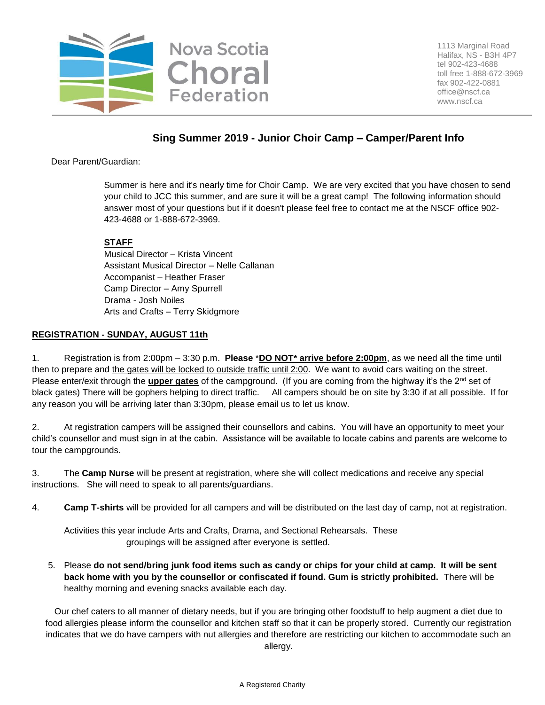

# **Sing Summer 2019 - Junior Choir Camp – Camper/Parent Info**

Dear Parent/Guardian:

Summer is here and it's nearly time for Choir Camp. We are very excited that you have chosen to send your child to JCC this summer, and are sure it will be a great camp! The following information should answer most of your questions but if it doesn't please feel free to contact me at the NSCF office 902- 423-4688 or 1-888-672-3969.

## **STAFF**

Musical Director – Krista Vincent Assistant Musical Director – Nelle Callanan Accompanist – Heather Fraser Camp Director – Amy Spurrell Drama - Josh Noiles Arts and Crafts – Terry Skidgmore

### **REGISTRATION - SUNDAY, AUGUST 11th**

1. Registration is from 2:00pm – 3:30 p.m. **Please** \***DO NOT\* arrive before 2:00pm**, as we need all the time until then to prepare and the gates will be locked to outside traffic until 2:00. We want to avoid cars waiting on the street. Please enter/exit through the *upper gates* of the campground. (If you are coming from the highway it's the 2<sup>nd</sup> set of black gates) There will be gophers helping to direct traffic. All campers should be on site by 3:30 if at all possible. If for any reason you will be arriving later than 3:30pm, please email us to let us know.

2. At registration campers will be assigned their counsellors and cabins. You will have an opportunity to meet your child's counsellor and must sign in at the cabin. Assistance will be available to locate cabins and parents are welcome to tour the campgrounds.

3. The **Camp Nurse** will be present at registration, where she will collect medications and receive any special instructions. She will need to speak to all parents/guardians.

4. **Camp T-shirts** will be provided for all campers and will be distributed on the last day of camp, not at registration.

Activities this year include Arts and Crafts, Drama, and Sectional Rehearsals. These groupings will be assigned after everyone is settled.

5. Please **do not send/bring junk food items such as candy or chips for your child at camp. It will be sent back home with you by the counsellor or confiscated if found. Gum is strictly prohibited.** There will be healthy morning and evening snacks available each day.

Our chef caters to all manner of dietary needs, but if you are bringing other foodstuff to help augment a diet due to food allergies please inform the counsellor and kitchen staff so that it can be properly stored. Currently our registration indicates that we do have campers with nut allergies and therefore are restricting our kitchen to accommodate such an allergy.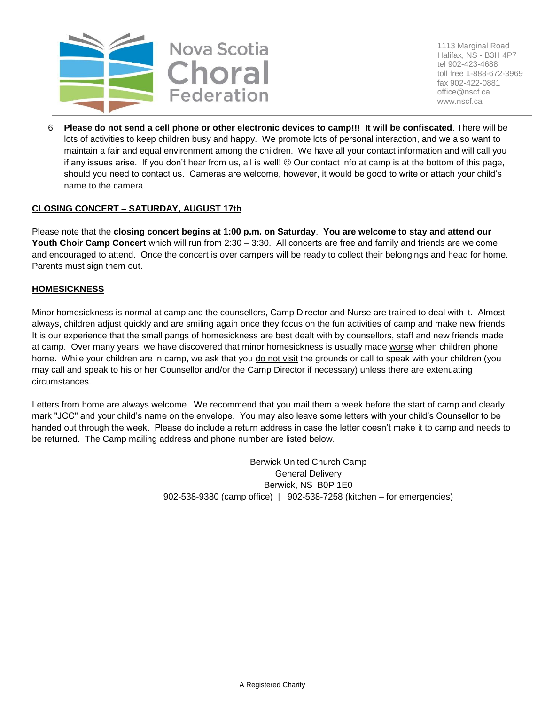

1113 Marginal Road Halifax, NS - B3H 4P7 tel 902-423-4688 toll free 1-888-672-3969 fax 902-422-0881 office@nscf.ca www.nscf.ca

6. **Please do not send a cell phone or other electronic devices to camp!!! It will be confiscated**. There will be lots of activities to keep children busy and happy. We promote lots of personal interaction, and we also want to maintain a fair and equal environment among the children. We have all your contact information and will call you if any issues arise. If you don't hear from us, all is well!  $\odot$  Our contact info at camp is at the bottom of this page, should you need to contact us. Cameras are welcome, however, it would be good to write or attach your child's name to the camera.

### **CLOSING CONCERT – SATURDAY, AUGUST 17th**

Please note that the **closing concert begins at 1:00 p.m. on Saturday**. **You are welcome to stay and attend our Youth Choir Camp Concert** which will run from 2:30 – 3:30.All concerts are free and family and friends are welcome and encouraged to attend. Once the concert is over campers will be ready to collect their belongings and head for home. Parents must sign them out.

#### **HOMESICKNESS**

Minor homesickness is normal at camp and the counsellors, Camp Director and Nurse are trained to deal with it. Almost always, children adjust quickly and are smiling again once they focus on the fun activities of camp and make new friends. It is our experience that the small pangs of homesickness are best dealt with by counsellors, staff and new friends made at camp. Over many years, we have discovered that minor homesickness is usually made worse when children phone home. While your children are in camp, we ask that you do not visit the grounds or call to speak with your children (you may call and speak to his or her Counsellor and/or the Camp Director if necessary) unless there are extenuating circumstances.

Letters from home are always welcome. We recommend that you mail them a week before the start of camp and clearly mark "JCC" and your child's name on the envelope. You may also leave some letters with your child's Counsellor to be handed out through the week. Please do include a return address in case the letter doesn't make it to camp and needs to be returned. The Camp mailing address and phone number are listed below.

> Berwick United Church Camp General Delivery Berwick, NS B0P 1E0 902-538-9380 (camp office) | 902-538-7258 (kitchen – for emergencies)